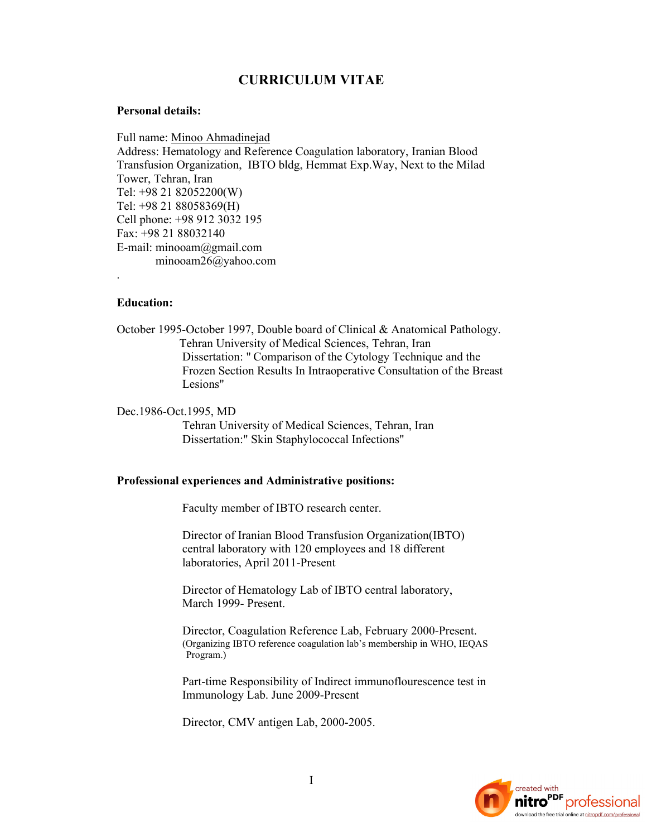# **CURRICULUM VITAE**

### **Personal details:**

Full name: Minoo Ahmadinejad Address: Hematology and Reference Coagulation laboratory, Iranian Blood Transfusion Organization, IBTO bldg, Hemmat Exp.Way, Next to the Milad Tower, Tehran, Iran Tel: +98 21 82052200(W) Tel: +98 21 88058369(H) Cell phone: +98 912 3032 195 Fax: +98 21 88032140 E-mail: minooam@gmail.com minooam26@yahoo.com

# **Education:**

.

October 1995-October 1997, Double board of Clinical & Anatomical Pathology. Tehran University of Medical Sciences, Tehran, Iran Dissertation: " Comparison of the Cytology Technique and the Frozen Section Results In Intraoperative Consultation of the Breast Lesions"

Dec.1986-Oct.1995, MD

Tehran University of Medical Sciences, Tehran, Iran Dissertation:" Skin Staphylococcal Infections"

#### **Professional experiences and Administrative positions:**

Faculty member of IBTO research center.

 Director of Iranian Blood Transfusion Organization(IBTO) central laboratory with 120 employees and 18 different laboratories, April 2011-Present

Director of Hematology Lab of IBTO central laboratory, March 1999- Present.

 Director, Coagulation Reference Lab, February 2000-Present. (Organizing IBTO reference coagulation lab's membership in WHO, IEQAS Program.)

 Part-time Responsibility of Indirect immunoflourescence test in Immunology Lab. June 2009-Present

Director, CMV antigen Lab, 2000-2005.

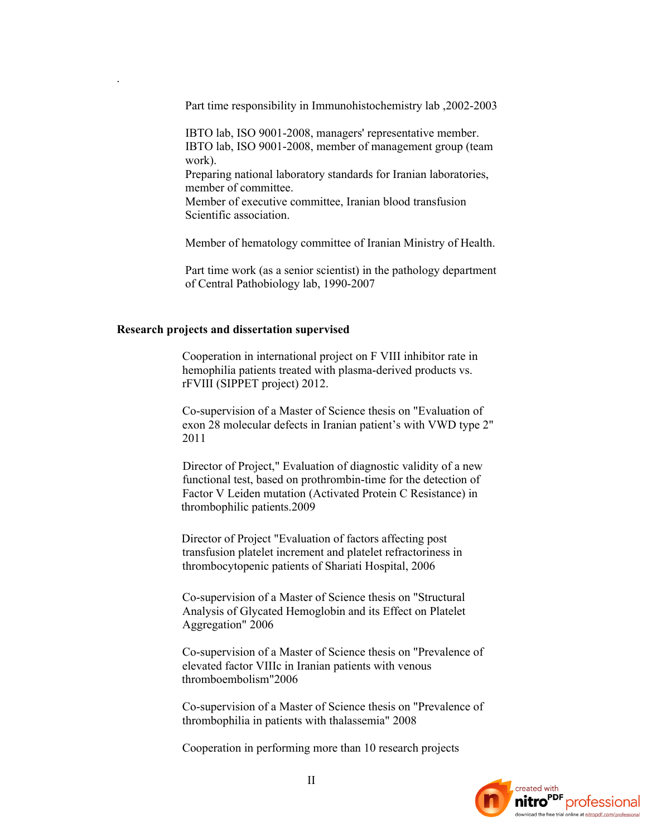Part time responsibility in Immunohistochemistry lab ,2002-2003

 IBTO lab, ISO 9001-2008, managers' representative member. IBTO lab, ISO 9001-2008, member of management group (team work). Preparing national laboratory standards for Iranian laboratories, member of committee.

 Member of executive committee, Iranian blood transfusion Scientific association.

Member of hematology committee of Iranian Ministry of Health.

 Part time work (as a senior scientist) in the pathology department of Central Pathobiology lab, 1990-2007

#### **Research projects and dissertation supervised**

.

 Cooperation in international project on F VIII inhibitor rate in hemophilia patients treated with plasma-derived products vs. rFVIII (SIPPET project) 2012.

 Co-supervision of a Master of Science thesis on "Evaluation of exon 28 molecular defects in Iranian patient's with VWD type 2" 2011

 Director of Project," Evaluation of diagnostic validity of a new functional test, based on prothrombin-time for the detection of Factor V Leiden mutation (Activated Protein C Resistance) in thrombophilic patients.2009

 Director of Project "Evaluation of factors affecting post transfusion platelet increment and platelet refractoriness in thrombocytopenic patients of Shariati Hospital, 2006

 Co-supervision of a Master of Science thesis on "Structural Analysis of Glycated Hemoglobin and its Effect on Platelet Aggregation" 2006

 Co-supervision of a Master of Science thesis on "Prevalence of elevated factor VIIIc in Iranian patients with venous thromboembolism"2006

 Co-supervision of a Master of Science thesis on "Prevalence of thrombophilia in patients with thalassemia" 2008

Cooperation in performing more than 10 research projects

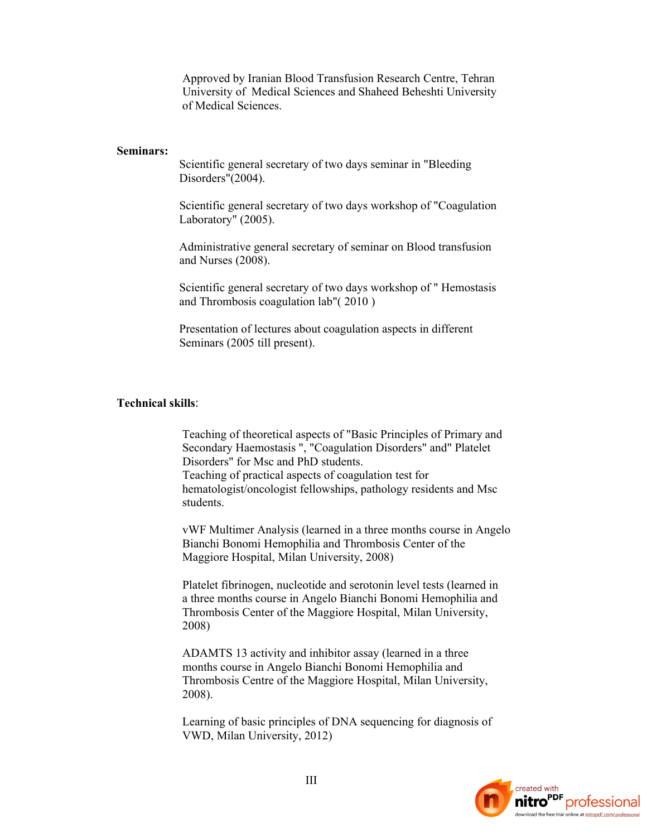Approved by Iranian Blood Transfusion Research Centre, Tehran University of Medical Sciences and Shaheed Beheshti University of Medical Sciences.

# **Seminars:**

 Scientific general secretary of two days seminar in "Bleeding Disorders"(2004).

 Scientific general secretary of two days workshop of "Coagulation Laboratory" (2005).

 Administrative general secretary of seminar on Blood transfusion and Nurses (2008).

 Scientific general secretary of two days workshop of " Hemostasis and Thrombosis coagulation lab"( 2010 )

 Presentation of lectures about coagulation aspects in different Seminars (2005 till present).

### **Technical skills:**

 Teaching of theoretical aspects of "Basic Principles of Primary and Secondary Haemostasis ", "Coagulation Disorders" and" Platelet Disorders" for Msc and PhD students.

 Teaching of practical aspects of coagulation test for hematologist/oncologist fellowships, pathology residents and Msc students.

 vWF Multimer Analysis (learned in a three months course in Angelo Bianchi Bonomi Hemophilia and Thrombosis Center of the Maggiore Hospital, Milan University, 2008)

 Platelet fibrinogen, nucleotide and serotonin level tests (learned in a three months course in Angelo Bianchi Bonomi Hemophilia and Thrombosis Center of the Maggiore Hospital, Milan University, 2008)

 ADAMTS 13 activity and inhibitor assay (learned in a three months course in Angelo Bianchi Bonomi Hemophilia and Thrombosis Centre of the Maggiore Hospital, Milan University, 2008).

 Learning of basic principles of DNA sequencing for diagnosis of VWD, Milan University, 2012)

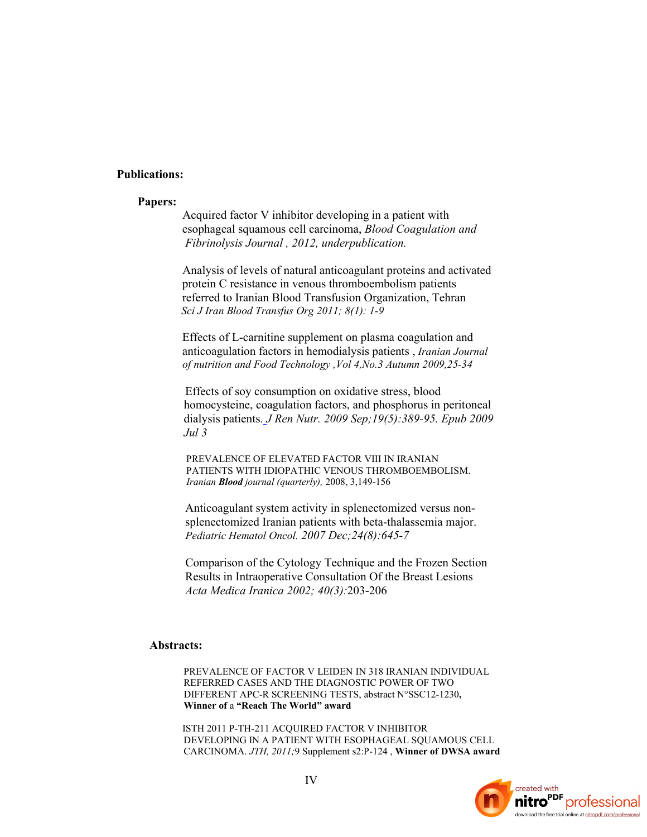# **Publications:**

#### **Papers:**

 Acquired factor V inhibitor developing in a patient with esophageal squamous cell carcinoma, *Blood Coagulation and Fibrinolysis Journal , 2012, underpublication.*

 Analysis of levels of natural anticoagulant proteins and activated protein C resistance in venous thromboembolism patients referred to Iranian Blood Transfusion Organization, Tehran  *Sci J Iran Blood Transfus Org 2011; 8(1): 1-9*

 Effects of L-carnitine supplement on plasma coagulation and anticoagulation factors in hemodialysis patients , *Iranian Journal of nutrition and Food Technology ,Vol 4,No.3 Autumn 2009,25-34*

 Effects of soy consumption on oxidative stress, blood homocysteine, coagulation factors, and phosphorus in peritoneal dialysis patients*. J Ren Nutr. 2009 Sep;19(5):389-95. Epub 2009 Jul 3*

 PREVALENCE OF ELEVATED FACTOR VIII IN IRANIAN PATIENTS WITH IDIOPATHIC VENOUS THROMBOEMBOLISM. *Iranian Blood journal (quarterly),* 2008, 3,149-156

 Anticoagulant system activity in splenectomized versus non splenectomized Iranian patients with beta-thalassemia major. *Pediatric Hematol Oncol. 2007 Dec;24(8):645-7*

 Comparison of the Cytology Technique and the Frozen Section Results in Intraoperative Consultation Of the Breast Lesions *Acta Medica Iranica 2002; 40(3):*203-206

### **Abstracts:**

 PREVALENCE OF FACTOR V LEIDEN IN 318 IRANIAN INDIVIDUAL REFERRED CASES AND THE DIAGNOSTIC POWER OF TWO DIFFERENT APC-R SCREENING TESTS, abstract N°SSC12-1230**, Winner of** a **"Reach The World" award**

ISTH 2011 P-TH-211 ACQUIRED FACTOR V INHIBITOR DEVELOPING IN A PATIENT WITH ESOPHAGEAL SOUAMOUS CELL CARCINOMA. *JTH, 2011;*9 Supplement s2:P-124 , **Winner of DWSA award**